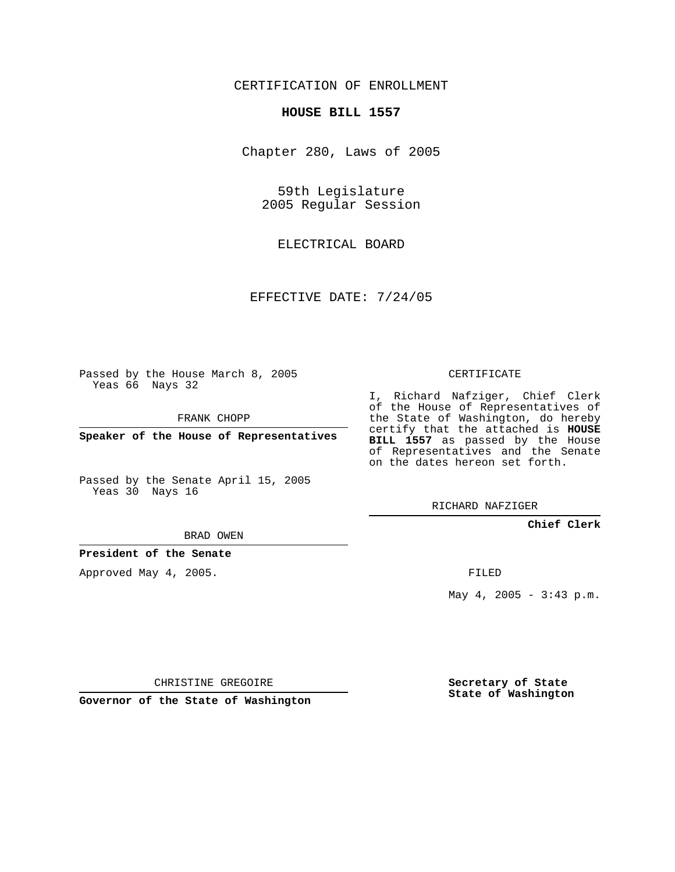CERTIFICATION OF ENROLLMENT

## **HOUSE BILL 1557**

Chapter 280, Laws of 2005

59th Legislature 2005 Regular Session

ELECTRICAL BOARD

EFFECTIVE DATE: 7/24/05

Passed by the House March 8, 2005 Yeas 66 Nays 32

FRANK CHOPP

**Speaker of the House of Representatives**

Passed by the Senate April 15, 2005 Yeas 30 Nays 16

BRAD OWEN

**President of the Senate**

Approved May 4, 2005.

CERTIFICATE

I, Richard Nafziger, Chief Clerk of the House of Representatives of the State of Washington, do hereby certify that the attached is **HOUSE BILL 1557** as passed by the House of Representatives and the Senate on the dates hereon set forth.

RICHARD NAFZIGER

**Chief Clerk**

FILED

May 4, 2005 - 3:43 p.m.

CHRISTINE GREGOIRE

**Governor of the State of Washington**

**Secretary of State State of Washington**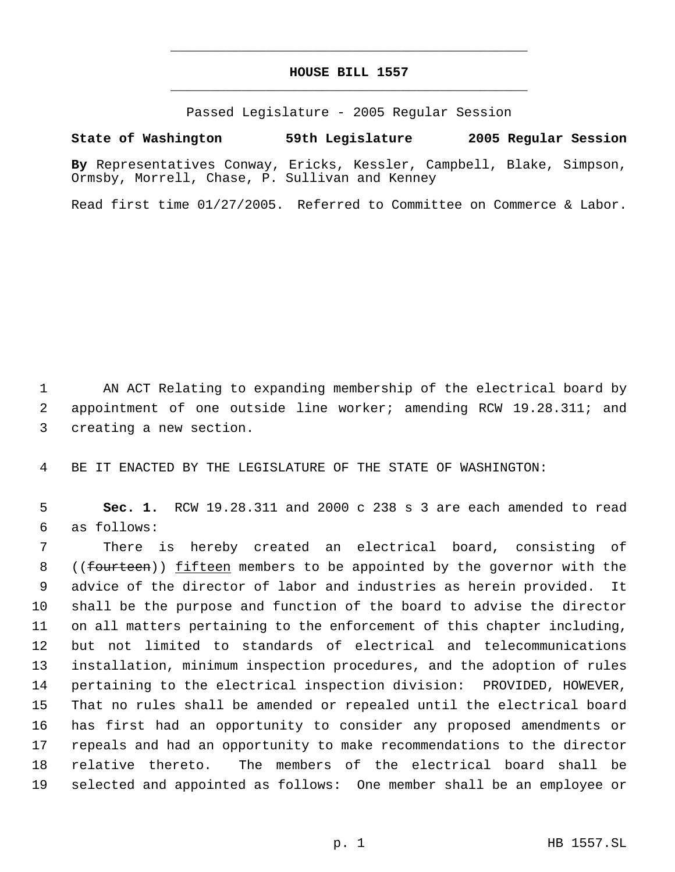## **HOUSE BILL 1557** \_\_\_\_\_\_\_\_\_\_\_\_\_\_\_\_\_\_\_\_\_\_\_\_\_\_\_\_\_\_\_\_\_\_\_\_\_\_\_\_\_\_\_\_\_

\_\_\_\_\_\_\_\_\_\_\_\_\_\_\_\_\_\_\_\_\_\_\_\_\_\_\_\_\_\_\_\_\_\_\_\_\_\_\_\_\_\_\_\_\_

Passed Legislature - 2005 Regular Session

**State of Washington 59th Legislature 2005 Regular Session**

**By** Representatives Conway, Ericks, Kessler, Campbell, Blake, Simpson, Ormsby, Morrell, Chase, P. Sullivan and Kenney

Read first time 01/27/2005. Referred to Committee on Commerce & Labor.

 AN ACT Relating to expanding membership of the electrical board by appointment of one outside line worker; amending RCW 19.28.311; and creating a new section.

BE IT ENACTED BY THE LEGISLATURE OF THE STATE OF WASHINGTON:

 **Sec. 1.** RCW 19.28.311 and 2000 c 238 s 3 are each amended to read as follows:

 There is hereby created an electrical board, consisting of 8 ((fourteen)) fifteen members to be appointed by the governor with the advice of the director of labor and industries as herein provided. It shall be the purpose and function of the board to advise the director on all matters pertaining to the enforcement of this chapter including, but not limited to standards of electrical and telecommunications installation, minimum inspection procedures, and the adoption of rules pertaining to the electrical inspection division: PROVIDED, HOWEVER, That no rules shall be amended or repealed until the electrical board has first had an opportunity to consider any proposed amendments or repeals and had an opportunity to make recommendations to the director relative thereto. The members of the electrical board shall be selected and appointed as follows: One member shall be an employee or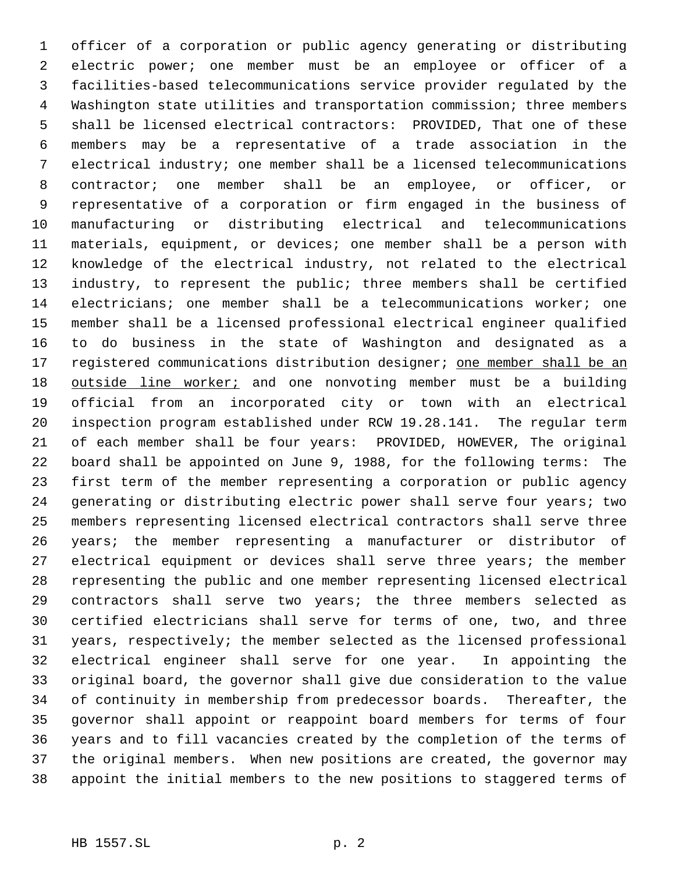officer of a corporation or public agency generating or distributing electric power; one member must be an employee or officer of a facilities-based telecommunications service provider regulated by the Washington state utilities and transportation commission; three members shall be licensed electrical contractors: PROVIDED, That one of these members may be a representative of a trade association in the electrical industry; one member shall be a licensed telecommunications contractor; one member shall be an employee, or officer, or representative of a corporation or firm engaged in the business of manufacturing or distributing electrical and telecommunications materials, equipment, or devices; one member shall be a person with knowledge of the electrical industry, not related to the electrical industry, to represent the public; three members shall be certified electricians; one member shall be a telecommunications worker; one member shall be a licensed professional electrical engineer qualified to do business in the state of Washington and designated as a 17 registered communications distribution designer; one member shall be an 18 outside line worker; and one nonvoting member must be a building official from an incorporated city or town with an electrical inspection program established under RCW 19.28.141. The regular term of each member shall be four years: PROVIDED, HOWEVER, The original board shall be appointed on June 9, 1988, for the following terms: The first term of the member representing a corporation or public agency generating or distributing electric power shall serve four years; two members representing licensed electrical contractors shall serve three years; the member representing a manufacturer or distributor of electrical equipment or devices shall serve three years; the member representing the public and one member representing licensed electrical contractors shall serve two years; the three members selected as certified electricians shall serve for terms of one, two, and three years, respectively; the member selected as the licensed professional electrical engineer shall serve for one year. In appointing the original board, the governor shall give due consideration to the value of continuity in membership from predecessor boards. Thereafter, the governor shall appoint or reappoint board members for terms of four years and to fill vacancies created by the completion of the terms of the original members. When new positions are created, the governor may appoint the initial members to the new positions to staggered terms of